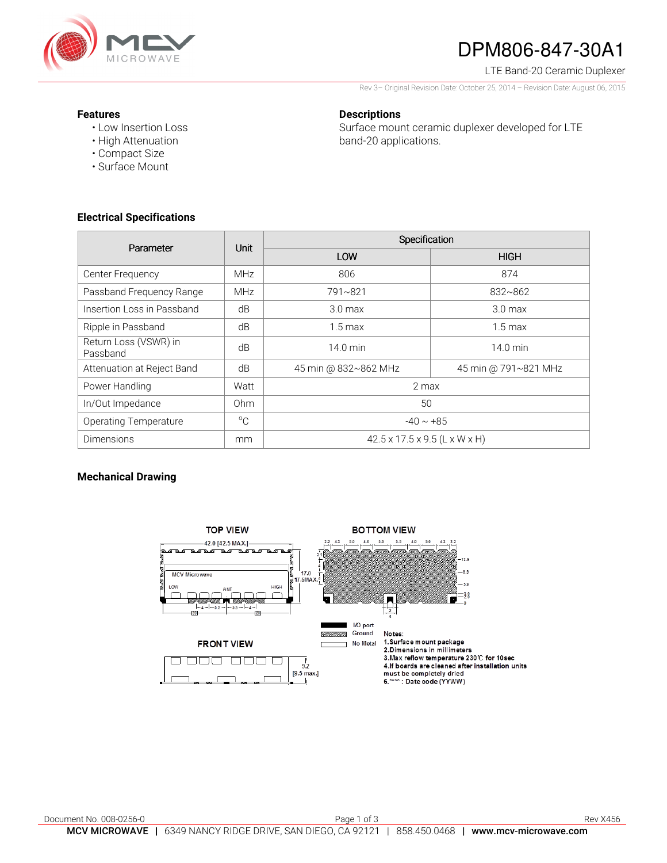

# DPM806-847-30A1

LTE Band-20 Ceramic Duplexer

Rev 3– Original Revision Date: October 25, 2014 – Revision Date: August 06, 2015

#### **Features**

• Low Insertion Loss • High Attenuation

### **Descriptions**

Surface mount ceramic duplexer developed for LTE band-20 applications.

- Compact Size
- Surface Mount

### **Electrical Specifications**

| Parameter                         | Unit            | Specification                             |                      |
|-----------------------------------|-----------------|-------------------------------------------|----------------------|
|                                   |                 | LOW                                       | <b>HIGH</b>          |
| Center Frequency                  | <b>MHz</b>      | 806                                       | 874                  |
| Passband Frequency Range          | <b>MHz</b>      | 791~821                                   | 832~862              |
| Insertion Loss in Passband        | dB              | 3.0 <sub>max</sub>                        | 3.0 <sub>max</sub>   |
| Ripple in Passband                | dB              | $1.5 \text{ max}$                         | $1.5 \text{ max}$    |
| Return Loss (VSWR) in<br>Passband | dB              | 14.0 min                                  | $14.0$ min           |
| Attenuation at Reject Band        | dB              | 45 min @ 832~862 MHz                      | 45 min @ 791~821 MHz |
| Power Handling                    | Watt            | 2 max                                     |                      |
| In/Out Impedance                  | 0 <sub>hm</sub> | 50                                        |                      |
| <b>Operating Temperature</b>      | $^{\circ}C$     | $-40 \sim +85$                            |                      |
| <b>Dimensions</b>                 | mm              | $42.5 \times 17.5 \times 9.5$ (L x W x H) |                      |

## **Mechanical Drawing**

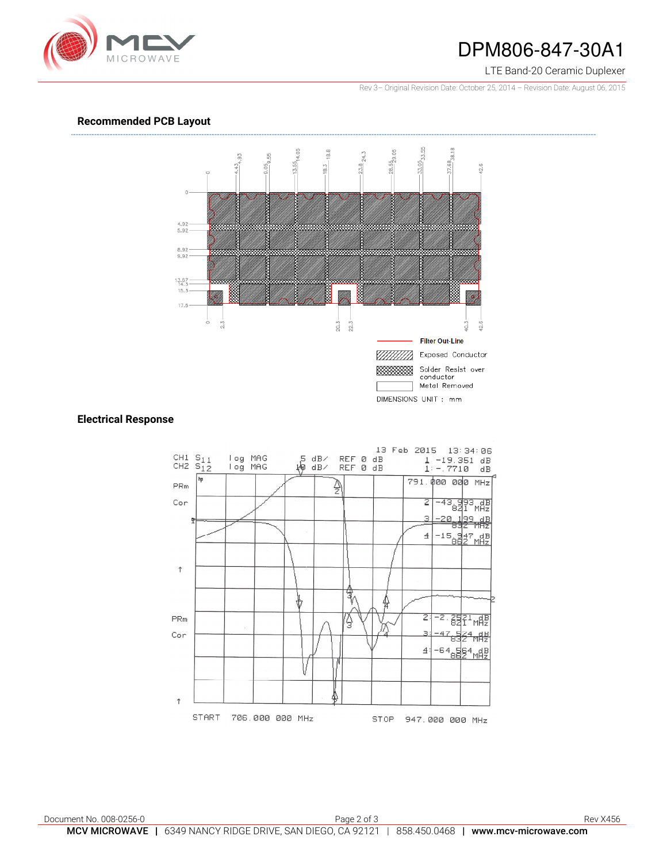

## DPM806-847-30A1

#### LTE Band-20 Ceramic Duplexer

Rev 3– Original Revision Date: October 25, 2014 – Revision Date: August 06, 2015

### **Recommended PCB Layout**



### **Electrical Response**